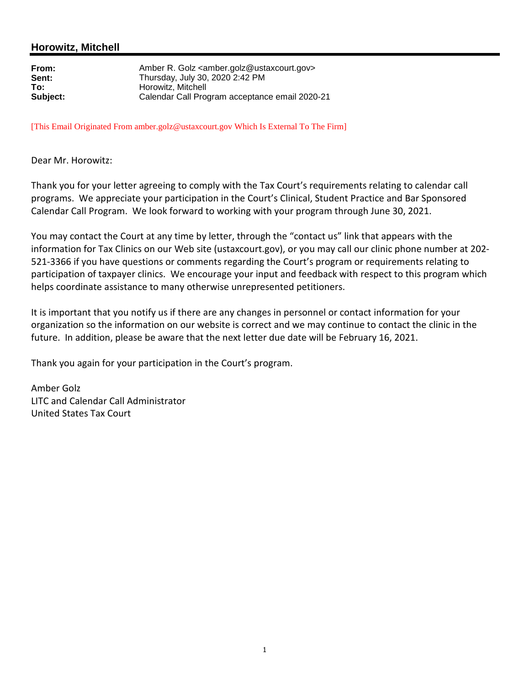## **Horowitz, Mitchell**

| From:    |
|----------|
| Sent:    |
| To:      |
| Subject: |

**From:** Amber R. Golz <amber.golz@ustaxcourt.gov> **Sent:** Thursday, July 30, 2020 2:42 PM **To:** Horowitz, Mitchell **Subject:** Calendar Call Program acceptance email 2020-21

[This Email Originated From amber.golz@ustaxcourt.gov Which Is External To The Firm]

Dear Mr. Horowitz:

Thank you for your letter agreeing to comply with the Tax Court's requirements relating to calendar call programs. We appreciate your participation in the Court's Clinical, Student Practice and Bar Sponsored Calendar Call Program. We look forward to working with your program through June 30, 2021.

You may contact the Court at any time by letter, through the "contact us" link that appears with the information for Tax Clinics on our Web site (ustaxcourt.gov), or you may call our clinic phone number at 202- 521-3366 if you have questions or comments regarding the Court's program or requirements relating to participation of taxpayer clinics. We encourage your input and feedback with respect to this program which helps coordinate assistance to many otherwise unrepresented petitioners.

It is important that you notify us if there are any changes in personnel or contact information for your organization so the information on our website is correct and we may continue to contact the clinic in the future. In addition, please be aware that the next letter due date will be February 16, 2021.

Thank you again for your participation in the Court's program.

Amber Golz LITC and Calendar Call Administrator United States Tax Court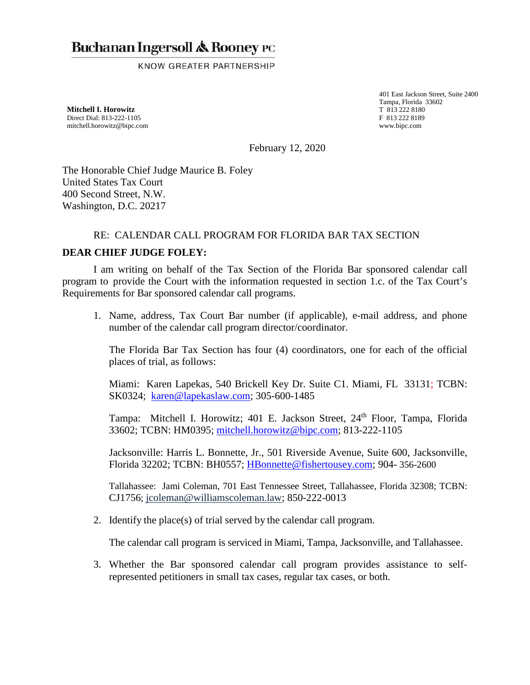## **Buchanan Ingersoll & Rooney PC**

KNOW GREATER PARTNERSHIP

**Mitchell I. Horowitz**  Direct Dial: 813-222-1105 mitchell.horowitz@bipc.com

401 East Jackson Street, Suite 2400 Tampa, Florida 33602 T 813 222 8180 F 813 222 8189 www.bipc.com

February 12, 2020

The Honorable Chief Judge Maurice B. Foley United States Tax Court 400 Second Street, N.W. Washington, D.C. 20217

## RE: CALENDAR CALL PROGRAM FOR FLORIDA BAR TAX SECTION

## **DEAR CHIEF JUDGE FOLEY:**

I am writing on behalf of the Tax Section of the Florida Bar sponsored calendar call program to provide the Court with the information requested in section 1.c. of the Tax Court's Requirements for Bar sponsored calendar call programs.

1. Name, address, Tax Court Bar number (if applicable), e-mail address, and phone number of the calendar call program director/coordinator.

The Florida Bar Tax Section has four (4) coordinators, one for each of the official places of trial, as follows:

Miami: Karen Lapekas, 540 Brickell Key Dr. Suite C1. Miami, FL 33131; TCBN: SK0324; karen@lapekaslaw.com; 305-600-1485

Tampa: Mitchell I. Horowitz; 401 E. Jackson Street, 24<sup>th</sup> Floor, Tampa, Florida 33602; TCBN: HM0395; mitchell.horowitz@bipc.com; 813-222-1105

Jacksonville: Harris L. Bonnette, Jr., 501 Riverside Avenue, Suite 600, Jacksonville, Florida 32202; TCBN: BH0557; HBonnette@fishertousey.com; 904- 356-2600

Tallahassee: Jami Coleman, 701 East Tennessee Street, Tallahassee, Florida 32308; TCBN: CJ1756; jcoleman@williamscoleman.law; 850-222-0013

2. Identify the place(s) of trial served by the calendar call program.

The calendar call program is serviced in Miami, Tampa, Jacksonville, and Tallahassee.

3. Whether the Bar sponsored calendar call program provides assistance to selfrepresented petitioners in small tax cases, regular tax cases, or both.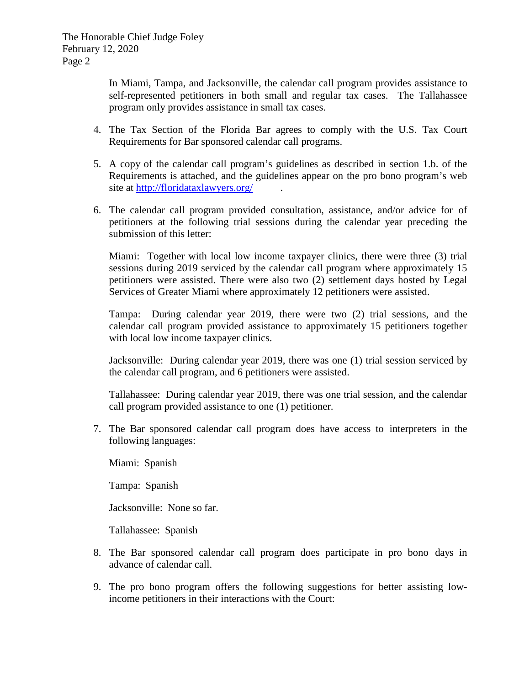In Miami, Tampa, and Jacksonville, the calendar call program provides assistance to self-represented petitioners in both small and regular tax cases. The Tallahassee program only provides assistance in small tax cases.

- 4. The Tax Section of the Florida Bar agrees to comply with the U.S. Tax Court Requirements for Bar sponsored calendar call programs.
- 5. A copy of the calendar call program's guidelines as described in section 1.b. of the Requirements is attached, and the guidelines appear on the pro bono program's web site at http://floridataxlawyers.org/
- 6. The calendar call program provided consultation, assistance, and/or advice for of petitioners at the following trial sessions during the calendar year preceding the submission of this letter:

Miami: Together with local low income taxpayer clinics, there were three (3) trial sessions during 2019 serviced by the calendar call program where approximately 15 petitioners were assisted. There were also two (2) settlement days hosted by Legal Services of Greater Miami where approximately 12 petitioners were assisted.

Tampa: During calendar year 2019, there were two (2) trial sessions, and the calendar call program provided assistance to approximately 15 petitioners together with local low income taxpayer clinics.

Jacksonville: During calendar year 2019, there was one (1) trial session serviced by the calendar call program, and 6 petitioners were assisted.

Tallahassee: During calendar year 2019, there was one trial session, and the calendar call program provided assistance to one (1) petitioner.

7. The Bar sponsored calendar call program does have access to interpreters in the following languages:

Miami: Spanish

Tampa: Spanish

Jacksonville: None so far.

Tallahassee: Spanish

- 8. The Bar sponsored calendar call program does participate in pro bono days in advance of calendar call.
- 9. The pro bono program offers the following suggestions for better assisting lowincome petitioners in their interactions with the Court: